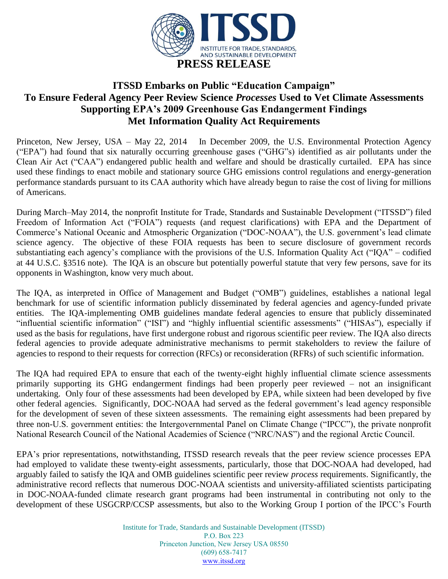

## **ITSSD Embarks on Public "Education Campaign" To Ensure Federal Agency Peer Review Science** *Processes* **Used to Vet Climate Assessments Supporting EPA's 2009 Greenhouse Gas Endangerment Findings Met Information Quality Act Requirements**

Princeton, New Jersey, USA – May 22, 2014 In December 2009, the U.S. Environmental Protection Agency ("EPA") had found that six naturally occurring greenhouse gases ("GHG"s) identified as air pollutants under the Clean Air Act ("CAA") endangered public health and welfare and should be drastically curtailed. EPA has since used these findings to enact mobile and stationary source GHG emissions control regulations and energy-generation performance standards pursuant to its CAA authority which have already begun to raise the cost of living for millions of Americans.

During March–May 2014, the nonprofit Institute for Trade, Standards and Sustainable Development ("ITSSD") filed Freedom of Information Act ("FOIA") requests (and request clarifications) with EPA and the Department of Commerce's National Oceanic and Atmospheric Organization ("DOC-NOAA"), the U.S. government's lead climate science agency. The objective of these FOIA requests has been to secure disclosure of government records substantiating each agency's compliance with the provisions of the U.S. Information Quality Act ("IQA" – codified at 44 U.S.C. §3516 note). The IQA is an obscure but potentially powerful statute that very few persons, save for its opponents in Washington, know very much about.

The IQA, as interpreted in Office of Management and Budget ("OMB") guidelines, establishes a national legal benchmark for use of scientific information publicly disseminated by federal agencies and agency-funded private entities. The IQA-implementing OMB guidelines mandate federal agencies to ensure that publicly disseminated "influential scientific information" ("ISI") and "highly influential scientific assessments" ("HISAs"), especially if used as the basis for regulations, have first undergone robust and rigorous scientific peer review. The IQA also directs federal agencies to provide adequate administrative mechanisms to permit stakeholders to review the failure of agencies to respond to their requests for correction (RFCs) or reconsideration (RFRs) of such scientific information.

The IQA had required EPA to ensure that each of the twenty-eight highly influential climate science assessments primarily supporting its GHG endangerment findings had been properly peer reviewed – not an insignificant undertaking. Only four of these assessments had been developed by EPA, while sixteen had been developed by five other federal agencies. Significantly, DOC-NOAA had served as the federal government's lead agency responsible for the development of seven of these sixteen assessments. The remaining eight assessments had been prepared by three non-U.S. government entities: the Intergovernmental Panel on Climate Change ("IPCC"), the private nonprofit National Research Council of the National Academies of Science ("NRC/NAS") and the regional Arctic Council.

EPA's prior representations, notwithstanding, ITSSD research reveals that the peer review science processes EPA had employed to validate these twenty-eight assessments, particularly, those that DOC-NOAA had developed, had arguably failed to satisfy the IQA and OMB guidelines scientific peer review *process* requirements. Significantly, the administrative record reflects that numerous DOC-NOAA scientists and university-affiliated scientists participating in DOC-NOAA-funded climate research grant programs had been instrumental in contributing not only to the development of these USGCRP/CCSP assessments, but also to the Working Group I portion of the IPCC's Fourth

> Institute for Trade, Standards and Sustainable Development (ITSSD) P.O. Box 223 Princeton Junction, New Jersey USA 08550 (609) 658-7417 [www.itssd.org](http://www.itssd.org/)